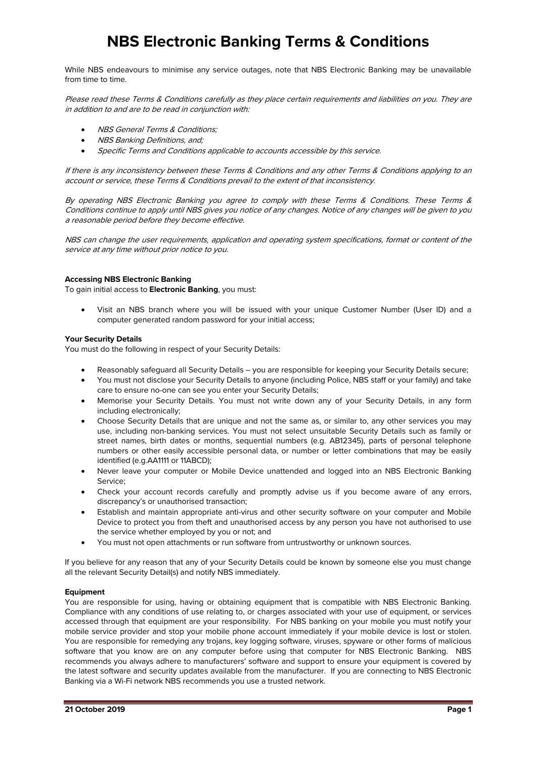# **NBS Electronic Banking Terms & Conditions**

While NBS endeavours to minimise any service outages, note that NBS Electronic Banking may be unavailable from time to time.

Please read these Terms & Conditions carefully as they place certain requirements and liabilities on you. They are in addition to and are to be read in conjunction with:

- NBS General Terms & Conditions:
- NBS Banking Definitions, and;
- Specific Terms and Conditions applicable to accounts accessible by this service.

If there is any inconsistency between these Terms & Conditions and any other Terms & Conditions applying to an account or service, these Terms & Conditions prevail to the extent of that inconsistency.

By operating NBS Electronic Banking you agree to comply with these Terms & Conditions. These Terms & Conditions continue to apply until NBS gives you notice of any changes. Notice of any changes will be given to you a reasonable period before they become effective.

NBS can change the user requirements, application and operating system specifications, format or content of the service at any time without prior notice to you.

## **Accessing NBS Electronic Banking**

To gain initial access to **Electronic Banking**, you must:

• Visit an NBS branch where you will be issued with your unique Customer Number (User ID) and a computer generated random password for your initial access;

#### **Your Security Details**

You must do the following in respect of your Security Details:

- Reasonably safeguard all Security Details you are responsible for keeping your Security Details secure;
- You must not disclose your Security Details to anyone (including Police, NBS staff or your family) and take care to ensure no-one can see you enter your Security Details;
- Memorise your Security Details. You must not write down any of your Security Details, in any form including electronically;
- Choose Security Details that are unique and not the same as, or similar to, any other services you may use, including non-banking services. You must not select unsuitable Security Details such as family or street names, birth dates or months, sequential numbers (e.g. AB12345), parts of personal telephone numbers or other easily accessible personal data, or number or letter combinations that may be easily identified (e.g.AA1111 or 11ABCD);
- Never leave your computer or Mobile Device unattended and logged into an NBS Electronic Banking Service;
- Check your account records carefully and promptly advise us if you become aware of any errors, discrepancy's or unauthorised transaction;
- Establish and maintain appropriate anti-virus and other security software on your computer and Mobile Device to protect you from theft and unauthorised access by any person you have not authorised to use the service whether employed by you or not; and
- You must not open attachments or run software from untrustworthy or unknown sources.

If you believe for any reason that any of your Security Details could be known by someone else you must change all the relevant Security Detail(s) and notify NBS immediately.

## **Equipment**

You are responsible for using, having or obtaining equipment that is compatible with NBS Electronic Banking. Compliance with any conditions of use relating to, or charges associated with your use of equipment, or services accessed through that equipment are your responsibility. For NBS banking on your mobile you must notify your mobile service provider and stop your mobile phone account immediately if your mobile device is lost or stolen. You are responsible for remedying any trojans, key logging software, viruses, spyware or other forms of malicious software that you know are on any computer before using that computer for NBS Electronic Banking. NBS recommends you always adhere to manufacturers' software and support to ensure your equipment is covered by the latest software and security updates available from the manufacturer. If you are connecting to NBS Electronic Banking via a Wi-Fi network NBS recommends you use a trusted network.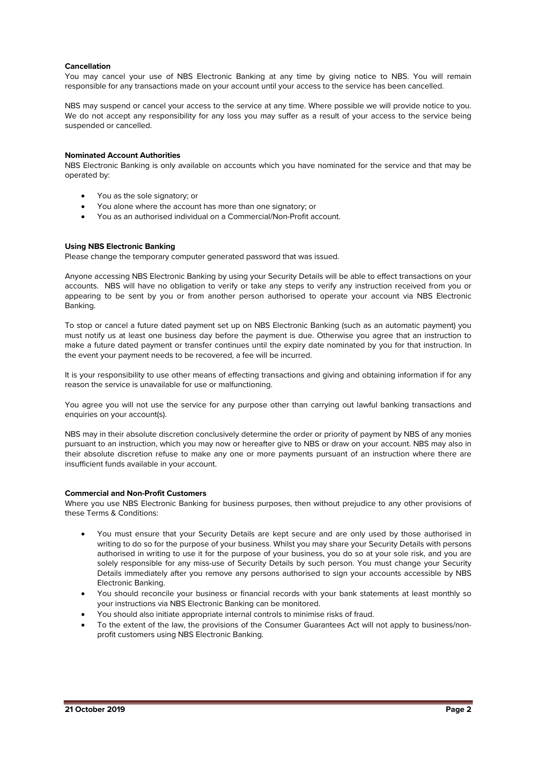## **Cancellation**

You may cancel your use of NBS Electronic Banking at any time by giving notice to NBS. You will remain responsible for any transactions made on your account until your access to the service has been cancelled.

NBS may suspend or cancel your access to the service at any time. Where possible we will provide notice to you. We do not accept any responsibility for any loss you may suffer as a result of your access to the service being suspended or cancelled.

## **Nominated Account Authorities**

NBS Electronic Banking is only available on accounts which you have nominated for the service and that may be operated by:

- You as the sole signatory; or
- You alone where the account has more than one signatory; or
- You as an authorised individual on a Commercial/Non-Profit account.

#### **Using NBS Electronic Banking**

Please change the temporary computer generated password that was issued.

Anyone accessing NBS Electronic Banking by using your Security Details will be able to effect transactions on your accounts. NBS will have no obligation to verify or take any steps to verify any instruction received from you or appearing to be sent by you or from another person authorised to operate your account via NBS Electronic Banking.

To stop or cancel a future dated payment set up on NBS Electronic Banking (such as an automatic payment) you must notify us at least one business day before the payment is due. Otherwise you agree that an instruction to make a future dated payment or transfer continues until the expiry date nominated by you for that instruction. In the event your payment needs to be recovered, a fee will be incurred.

It is your responsibility to use other means of effecting transactions and giving and obtaining information if for any reason the service is unavailable for use or malfunctioning.

You agree you will not use the service for any purpose other than carrying out lawful banking transactions and enquiries on your account(s).

NBS may in their absolute discretion conclusively determine the order or priority of payment by NBS of any monies pursuant to an instruction, which you may now or hereafter give to NBS or draw on your account. NBS may also in their absolute discretion refuse to make any one or more payments pursuant of an instruction where there are insufficient funds available in your account.

#### **Commercial and Non-Profit Customers**

Where you use NBS Electronic Banking for business purposes, then without prejudice to any other provisions of these Terms & Conditions:

- You must ensure that your Security Details are kept secure and are only used by those authorised in writing to do so for the purpose of your business. Whilst you may share your Security Details with persons authorised in writing to use it for the purpose of your business, you do so at your sole risk, and you are solely responsible for any miss-use of Security Details by such person. You must change your Security Details immediately after you remove any persons authorised to sign your accounts accessible by NBS Electronic Banking.
- You should reconcile your business or financial records with your bank statements at least monthly so your instructions via NBS Electronic Banking can be monitored.
- You should also initiate appropriate internal controls to minimise risks of fraud.
- To the extent of the law, the provisions of the Consumer Guarantees Act will not apply to business/nonprofit customers using NBS Electronic Banking.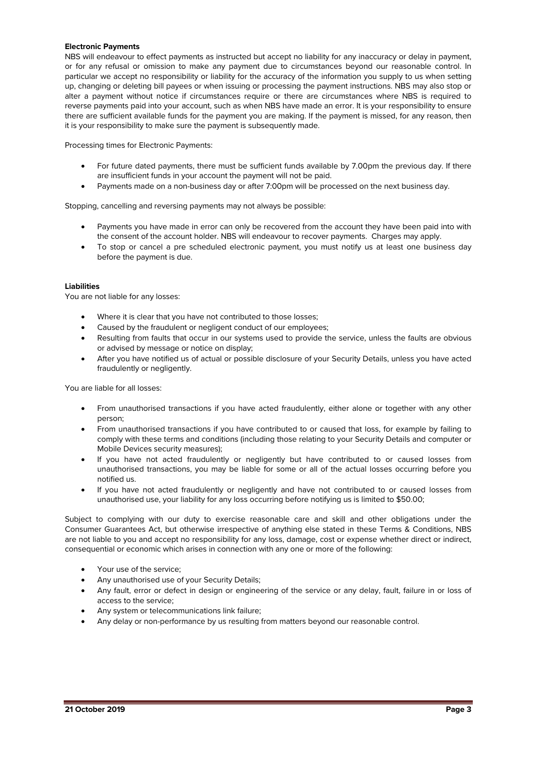## **Electronic Payments**

NBS will endeavour to effect payments as instructed but accept no liability for any inaccuracy or delay in payment, or for any refusal or omission to make any payment due to circumstances beyond our reasonable control. In particular we accept no responsibility or liability for the accuracy of the information you supply to us when setting up, changing or deleting bill payees or when issuing or processing the payment instructions. NBS may also stop or alter a payment without notice if circumstances require or there are circumstances where NBS is required to reverse payments paid into your account, such as when NBS have made an error. It is your responsibility to ensure there are sufficient available funds for the payment you are making. If the payment is missed, for any reason, then it is your responsibility to make sure the payment is subsequently made.

Processing times for Electronic Payments:

- For future dated payments, there must be sufficient funds available by 7.00pm the previous day. If there are insufficient funds in your account the payment will not be paid.
- Payments made on a non-business day or after 7:00pm will be processed on the next business day.

Stopping, cancelling and reversing payments may not always be possible:

- Payments you have made in error can only be recovered from the account they have been paid into with the consent of the account holder. NBS will endeavour to recover payments. Charges may apply.
- To stop or cancel a pre scheduled electronic payment, you must notify us at least one business day before the payment is due.

# **Liabilities**

You are not liable for any losses:

- Where it is clear that you have not contributed to those losses;
- Caused by the fraudulent or negligent conduct of our employees;
- Resulting from faults that occur in our systems used to provide the service, unless the faults are obvious or advised by message or notice on display;
- After you have notified us of actual or possible disclosure of your Security Details, unless you have acted fraudulently or negligently.

You are liable for all losses:

- From unauthorised transactions if you have acted fraudulently, either alone or together with any other person;
- From unauthorised transactions if you have contributed to or caused that loss, for example by failing to comply with these terms and conditions (including those relating to your Security Details and computer or Mobile Devices security measures);
- If you have not acted fraudulently or negligently but have contributed to or caused losses from unauthorised transactions, you may be liable for some or all of the actual losses occurring before you notified us.
- If you have not acted fraudulently or negligently and have not contributed to or caused losses from unauthorised use, your liability for any loss occurring before notifying us is limited to \$50.00;

Subject to complying with our duty to exercise reasonable care and skill and other obligations under the Consumer Guarantees Act, but otherwise irrespective of anything else stated in these Terms & Conditions, NBS are not liable to you and accept no responsibility for any loss, damage, cost or expense whether direct or indirect, consequential or economic which arises in connection with any one or more of the following:

- Your use of the service;
- Any unauthorised use of your Security Details:
- Any fault, error or defect in design or engineering of the service or any delay, fault, failure in or loss of access to the service;
- Any system or telecommunications link failure;
- Any delay or non-performance by us resulting from matters beyond our reasonable control.